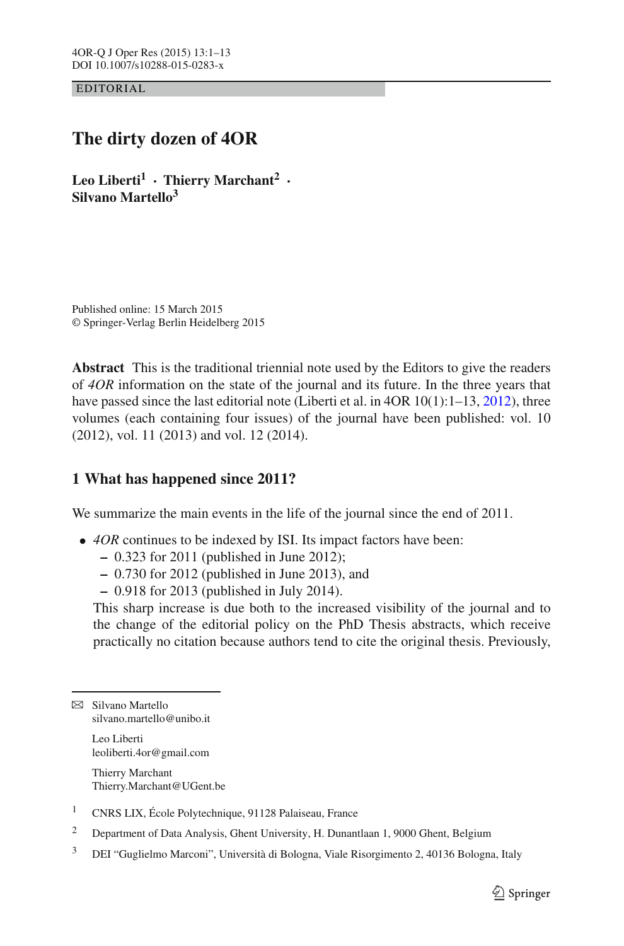EDITORIAL

# **The dirty dozen of 4OR**

**Leo Liberti<sup>1</sup> · Thierry Marchant<sup>2</sup> · Silvano Martello3**

Published online: 15 March 2015 © Springer-Verlag Berlin Heidelberg 2015

**Abstract** This is the traditional triennial note used by the Editors to give the readers of *4OR* information on the state of the journal and its future. In the three years that have passed since the last editorial note (Liberti et al. in 4OR 10(1):1–13, [2012\)](#page-11-0), three volumes (each containing four issues) of the journal have been published: vol. 10 (2012), vol. 11 (2013) and vol. 12 (2014).

## **1 What has happened since 2011?**

We summarize the main events in the life of the journal since the end of 2011.

- *4OR* continues to be indexed by ISI. Its impact factors have been:
	- **–** 0.323 for 2011 (published in June 2012);
	- **–** 0.730 for 2012 (published in June 2013), and
	- **–** 0.918 for 2013 (published in July 2014).

This sharp increase is due both to the increased visibility of the journal and to the change of the editorial policy on the PhD Thesis abstracts, which receive practically no citation because authors tend to cite the original thesis. Previously,

 $\boxtimes$  Silvano Martello silvano.martello@unibo.it

> Leo Liberti leoliberti.4or@gmail.com

Thierry Marchant Thierry.Marchant@UGent.be

- <sup>1</sup> CNRS LIX, École Polytechnique, 91128 Palaiseau, France
- <sup>2</sup> Department of Data Analysis, Ghent University, H. Dunantlaan 1, 9000 Ghent, Belgium
- <sup>3</sup> DEI "Guglielmo Marconi", Università di Bologna, Viale Risorgimento 2, 40136 Bologna, Italy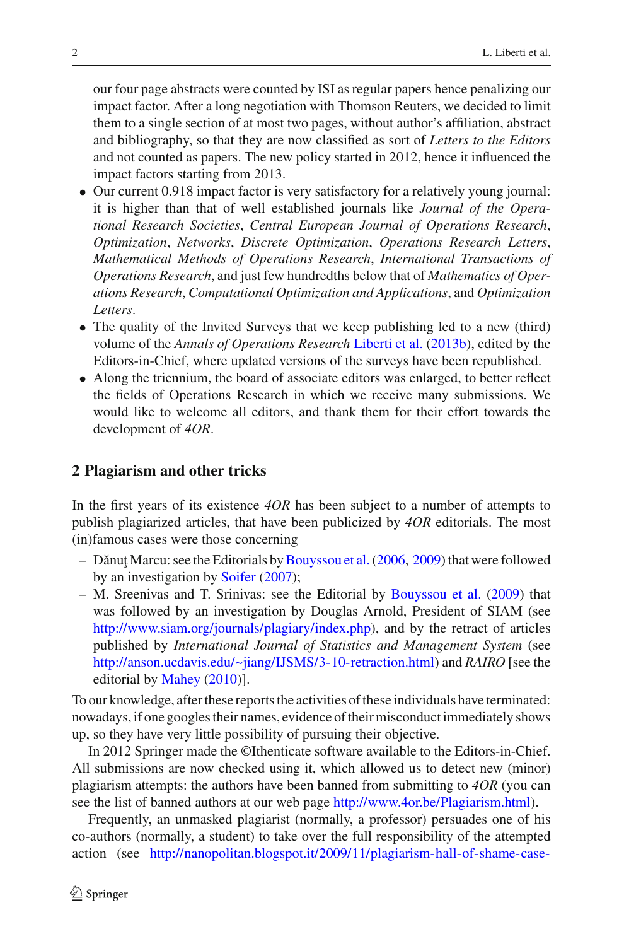our four page abstracts were counted by ISI as regular papers hence penalizing our impact factor. After a long negotiation with Thomson Reuters, we decided to limit them to a single section of at most two pages, without author's affiliation, abstract and bibliography, so that they are now classified as sort of *Letters to the Editors* and not counted as papers. The new policy started in 2012, hence it influenced the impact factors starting from 2013.

- Our current 0.918 impact factor is very satisfactory for a relatively young journal: it is higher than that of well established journals like *Journal of the Operational Research Societies*, *Central European Journal of Operations Research*, *Optimization*, *Networks*, *Discrete Optimization*, *Operations Research Letters*, *Mathematical Methods of Operations Research*, *International Transactions of Operations Research*, and just few hundredths below that of *Mathematics of Operations Research*, *Computational Optimization and Applications*, and *Optimization Letters*.
- The quality of the Invited Surveys that we keep publishing led to a new (third) volume of the *Annals of Operations Research* [Liberti et al.](#page-11-1) [\(2013b\)](#page-11-1), edited by the Editors-in-Chief, where updated versions of the surveys have been republished.
- Along the triennium, the board of associate editors was enlarged, to better reflect the fields of Operations Research in which we receive many submissions. We would like to welcome all editors, and thank them for their effort towards the development of *4OR*.

## **2 Plagiarism and other tricks**

In the first years of its existence *4OR* has been subject to a number of attempts to publish plagiarized articles, that have been publicized by *4OR* editorials. The most (in)famous cases were those concerning

- $-$  Dǎnuţ Marcu: see the Editorials by Bouyssou et al. (2006, [2009\)](#page-11-3) that were followed by an investigation by [Soifer](#page-12-0) [\(2007\)](#page-12-0);
- M. Sreenivas and T. Srinivas: see the Editorial by [Bouyssou et al.](#page-11-3) [\(2009](#page-11-3)) that was followed by an investigation by Douglas Arnold, President of SIAM (see [http://www.siam.org/journals/plagiary/index.php\)](http://www.siam.org/journals/plagiary/index.php), and by the retract of articles published by *International Journal of Statistics and Management System* (see [http://anson.ucdavis.edu/~jiang/IJSMS/3-10-retraction.html\)](http://anson.ucdavis.edu/~jiang/IJSMS/3-10-retraction.html) and *RAIRO* [see the editorial by [Mahey](#page-11-4) [\(2010](#page-11-4))].

To our knowledge, after these reports the activities of these individuals have terminated: nowadays, if one googles their names, evidence of their misconduct immediately shows up, so they have very little possibility of pursuing their objective.

In 2012 Springer made the ©Ithenticate software available to the Editors-in-Chief. All submissions are now checked using it, which allowed us to detect new (minor) plagiarism attempts: the authors have been banned from submitting to *4OR* (you can see the list of banned authors at our web page [http://www.4or.be/Plagiarism.html\)](http://www.4or.be/Plagiarism.html).

Frequently, an unmasked plagiarist (normally, a professor) persuades one of his co-authors (normally, a student) to take over the full responsibility of the attempted action (see [http://nanopolitan.blogspot.it/2009/11/plagiarism-hall-of-shame-case-](http://nanopolitan.blogspot.it/2009/11/plagiarism-hall-of-shame-case-from.html)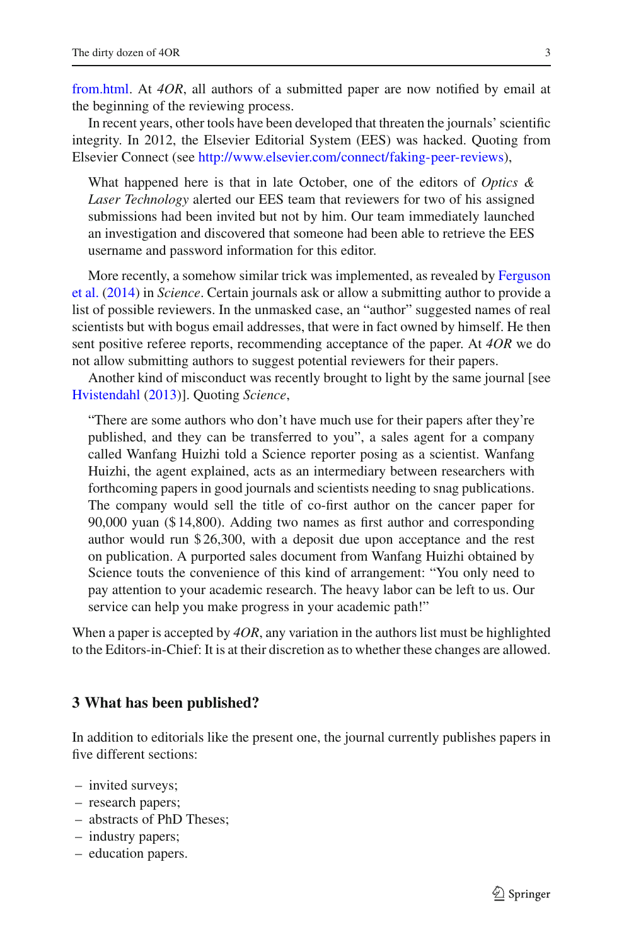[from.html.](http://nanopolitan.blogspot.it/2009/11/plagiarism-hall-of-shame-case-from.html) At *4OR*, all authors of a submitted paper are now notified by email at the beginning of the reviewing process.

In recent years, other tools have been developed that threaten the journals' scientific integrity. In 2012, the Elsevier Editorial System (EES) was hacked. Quoting from Elsevier Connect (see [http://www.elsevier.com/connect/faking-peer-reviews\)](http://www.elsevier.com/connect/faking-peer-reviews),

What happened here is that in late October, one of the editors of *Optics & Laser Technology* alerted our EES team that reviewers for two of his assigned submissions had been invited but not by him. Our team immediately launched an investigation and discovered that someone had been able to retrieve the EES username and password information for this editor.

[More](#page-11-5) [recently,](#page-11-5) [a](#page-11-5) [somehow](#page-11-5) [similar](#page-11-5) [trick](#page-11-5) [was](#page-11-5) [implemented,](#page-11-5) [as](#page-11-5) [revealed](#page-11-5) [by](#page-11-5) Ferguson et al. [\(2014](#page-11-5)) in *Science*. Certain journals ask or allow a submitting author to provide a list of possible reviewers. In the unmasked case, an "author" suggested names of real scientists but with bogus email addresses, that were in fact owned by himself. He then sent positive referee reports, recommending acceptance of the paper. At *4OR* we do not allow submitting authors to suggest potential reviewers for their papers.

Another kind of misconduct was recently brought to light by the same journal [see [Hvistendahl](#page-11-6) [\(2013\)](#page-11-6)]. Quoting *Science*,

"There are some authors who don't have much use for their papers after they're published, and they can be transferred to you", a sales agent for a company called Wanfang Huizhi told a Science reporter posing as a scientist. Wanfang Huizhi, the agent explained, acts as an intermediary between researchers with forthcoming papers in good journals and scientists needing to snag publications. The company would sell the title of co-first author on the cancer paper for 90,000 yuan (\$ 14,800). Adding two names as first author and corresponding author would run \$ 26,300, with a deposit due upon acceptance and the rest on publication. A purported sales document from Wanfang Huizhi obtained by Science touts the convenience of this kind of arrangement: "You only need to pay attention to your academic research. The heavy labor can be left to us. Our service can help you make progress in your academic path!"

When a paper is accepted by *4OR*, any variation in the authors list must be highlighted to the Editors-in-Chief: It is at their discretion as to whether these changes are allowed.

#### **3 What has been published?**

In addition to editorials like the present one, the journal currently publishes papers in five different sections:

- invited surveys;
- research papers;
- abstracts of PhD Theses;
- industry papers;
- education papers.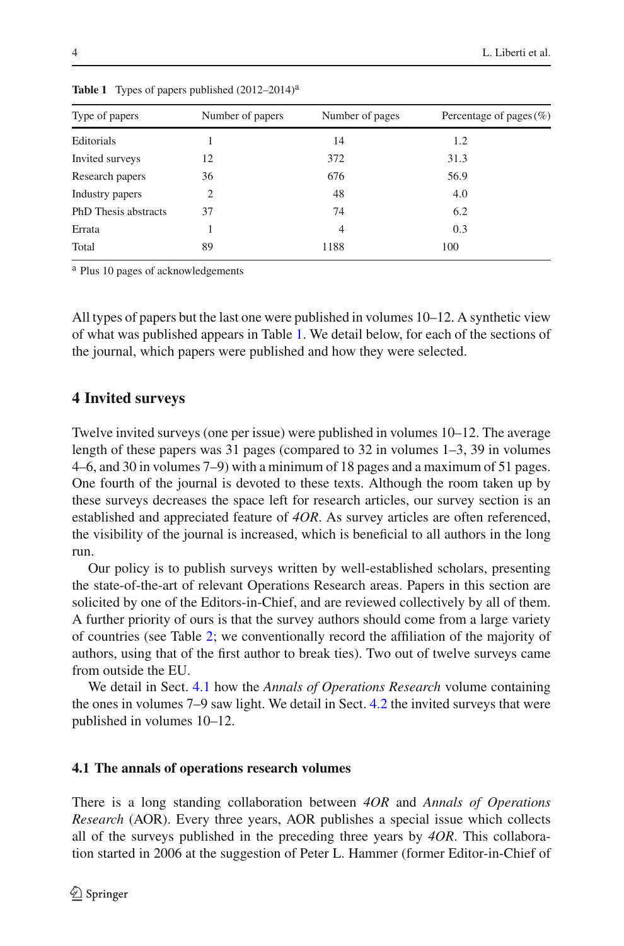| Type of papers       | Number of papers            | Number of pages | Percentage of pages $(\%)$ |
|----------------------|-----------------------------|-----------------|----------------------------|
|                      |                             |                 |                            |
| Editorials           |                             | 14              | 1.2                        |
| Invited surveys      | 12                          | 372             | 31.3                       |
| Research papers      | 36                          | 676             | 56.9                       |
| Industry papers      | $\mathcal{D}_{\mathcal{L}}$ | 48              | 4.0                        |
| PhD Thesis abstracts | 37                          | 74              | 6.2                        |
| Errata               |                             | 4               | 0.3                        |
| Total                | 89                          | 1188            | 100                        |
|                      |                             |                 |                            |

<span id="page-3-0"></span>Table 1 Types of papers published  $(2012-2014)^{a}$ 

<sup>a</sup> Plus 10 pages of acknowledgements

All types of papers but the last one were published in volumes 10–12. A synthetic view of what was published appears in Table [1.](#page-3-0) We detail below, for each of the sections of the journal, which papers were published and how they were selected.

#### **4 Invited surveys**

Twelve invited surveys (one per issue) were published in volumes 10–12. The average length of these papers was 31 pages (compared to 32 in volumes 1–3, 39 in volumes 4–6, and 30 in volumes 7–9) with a minimum of 18 pages and a maximum of 51 pages. One fourth of the journal is devoted to these texts. Although the room taken up by these surveys decreases the space left for research articles, our survey section is an established and appreciated feature of *4OR*. As survey articles are often referenced, the visibility of the journal is increased, which is beneficial to all authors in the long run.

Our policy is to publish surveys written by well-established scholars, presenting the state-of-the-art of relevant Operations Research areas. Papers in this section are solicited by one of the Editors-in-Chief, and are reviewed collectively by all of them. A further priority of ours is that the survey authors should come from a large variety of countries (see Table [2;](#page-4-0) we conventionally record the affiliation of the majority of authors, using that of the first author to break ties). Two out of twelve surveys came from outside the EU.

We detail in Sect. [4.1](#page-3-1) how the *Annals of Operations Research* volume containing the ones in volumes 7–9 saw light. We detail in Sect. [4.2](#page-5-0) the invited surveys that were published in volumes 10–12.

#### <span id="page-3-1"></span>**4.1 The annals of operations research volumes**

There is a long standing collaboration between *4OR* and *Annals of Operations Research* (AOR). Every three years, AOR publishes a special issue which collects all of the surveys published in the preceding three years by *4OR*. This collaboration started in 2006 at the suggestion of Peter L. Hammer (former Editor-in-Chief of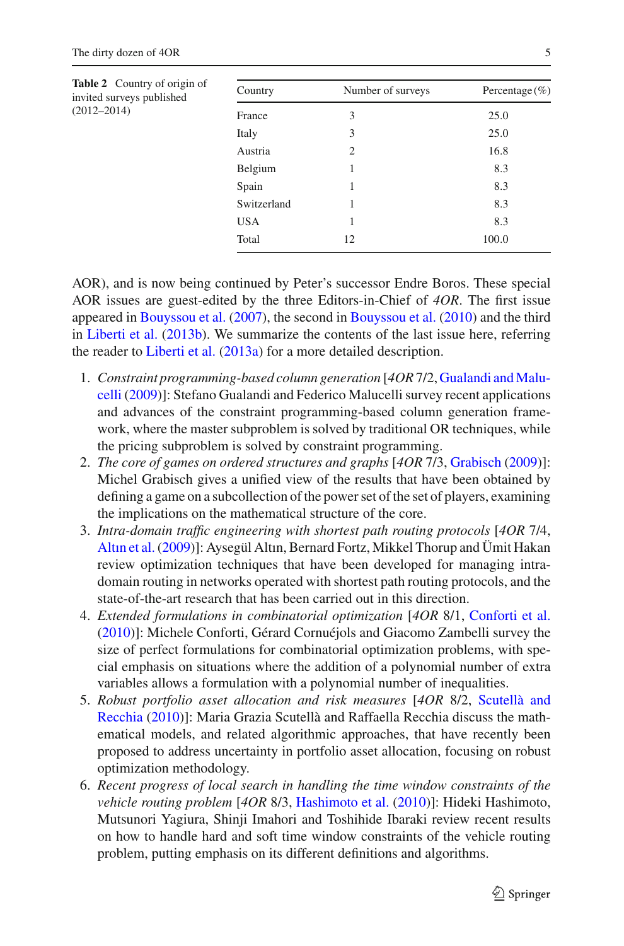<span id="page-4-0"></span>

| <b>Table 2</b> Country of origin of<br>invited surveys published | Country     | Number of surveys | Percentage $(\% )$ |
|------------------------------------------------------------------|-------------|-------------------|--------------------|
| $(2012 - 2014)$                                                  | France      | 3                 | 25.0               |
|                                                                  | Italy       | 3                 | 25.0               |
|                                                                  | Austria     | 2                 | 16.8               |
|                                                                  | Belgium     |                   | 8.3                |
|                                                                  | Spain       |                   | 8.3                |
|                                                                  | Switzerland |                   | 8.3                |
|                                                                  | <b>USA</b>  |                   | 8.3                |
|                                                                  | Total       | 12                | 100.0              |

AOR), and is now being continued by Peter's successor Endre Boros. These special AOR issues are guest-edited by the three Editors-in-Chief of *4OR*. The first issue appeared in [Bouyssou et al.](#page-11-7) [\(2007\)](#page-11-7), the second in [Bouyssou et al.](#page-11-8) [\(2010\)](#page-11-8) and the third in [Liberti et al.](#page-11-1) [\(2013b](#page-11-1)). We summarize the contents of the last issue here, referring the reader to [Liberti et al.](#page-11-9) [\(2013a](#page-11-9)) for a more detailed description.

- 1. *Con[straint](#page-11-10) [programming-based](#page-11-10) [column](#page-11-10) [generation](#page-11-10)* [*4OR* 7/2, Gualandi andMalucelli [\(2009\)](#page-11-10)]: Stefano Gualandi and Federico Malucelli survey recent applications and advances of the constraint programming-based column generation framework, where the master subproblem is solved by traditional OR techniques, while the pricing subproblem is solved by constraint programming.
- 2. *The core of games on ordered structures and graphs* [*4OR* 7/3, [Grabisch](#page-11-11) [\(2009\)](#page-11-11)]: Michel Grabisch gives a unified view of the results that have been obtained by defining a game on a subcollection of the power set of the set of players, examining the implications on the mathematical structure of the core.
- 3. *Intra-domain traffic engineering with shortest path routing protocols* [*4OR* 7/4, [Altın et al.\(2009](#page-11-12))]: Aysegül Altın, Bernard Fortz, Mikkel Thorup and Ümit Hakan review optimization techniques that have been developed for managing intradomain routing in networks operated with shortest path routing protocols, and the state-of-the-art research that has been carried out in this direction.
- 4. *Extended formulations in combinatorial optimization* [*4OR* 8/1, [Conforti et al.](#page-11-13) [\(2010\)](#page-11-13)]: Michele Conforti, Gérard Cornuéjols and Giacomo Zambelli survey the size of perfect formulations for combinatorial optimization problems, with special emphasis on situations where the addition of a polynomial number of extra variables allows a formulation with a polynomial number of inequalities.
- 5. *Robust [portfolio](#page-12-1) [asset](#page-12-1) [allocation](#page-12-1) [and](#page-12-1) [risk](#page-12-1) [measures](#page-12-1)* [*4OR* 8/2, Scutellà and Recchia [\(2010\)](#page-12-1)]: Maria Grazia Scutellà and Raffaella Recchia discuss the mathematical models, and related algorithmic approaches, that have recently been proposed to address uncertainty in portfolio asset allocation, focusing on robust optimization methodology.
- 6. *Recent progress of local search in handling the time window constraints of the vehicle routing problem* [*4OR* 8/3, [Hashimoto et al.](#page-11-14) [\(2010](#page-11-14))]: Hideki Hashimoto, Mutsunori Yagiura, Shinji Imahori and Toshihide Ibaraki review recent results on how to handle hard and soft time window constraints of the vehicle routing problem, putting emphasis on its different definitions and algorithms.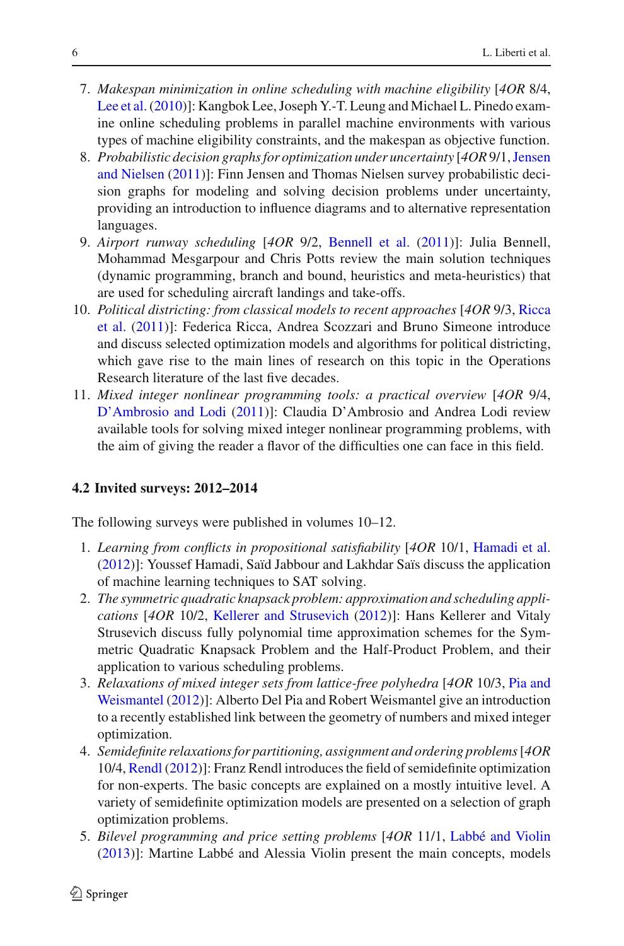- 7. *Makespan minimization in online scheduling with machine eligibility* [*4OR* 8/4, [Lee et al.\(2010\)](#page-11-15)]: Kangbok Lee, Joseph Y.-T. Leung and Michael L. Pinedo examine online scheduling problems in parallel machine environments with various types of machine eligibility constraints, and the makespan as objective function.
- 8. *Probabilisti[c](#page-11-16) [decision](#page-11-16) [graphs](#page-11-16) [for](#page-11-16) [optimization](#page-11-16) [under](#page-11-16) [uncertainty](#page-11-16)* [*4OR* 9/1,Jensen and Nielsen [\(2011\)](#page-11-16)]: Finn Jensen and Thomas Nielsen survey probabilistic decision graphs for modeling and solving decision problems under uncertainty, providing an introduction to influence diagrams and to alternative representation languages.
- 9. *Airport runway scheduling* [*4OR* 9/2, [Bennell et al.](#page-11-17) [\(2011\)](#page-11-17)]: Julia Bennell, Mohammad Mesgarpour and Chris Potts review the main solution techniques (dynamic programming, branch and bound, heuristics and meta-heuristics) that are used for scheduling aircraft landings and take-offs.
- 10. *Polit[ical](#page-11-18) [districting:](#page-11-18) [from](#page-11-18) [classical](#page-11-18) [models](#page-11-18) [to](#page-11-18) [recent](#page-11-18) [approaches](#page-11-18)* [*4OR* 9/3, Ricca et al. [\(2011\)](#page-11-18)]: Federica Ricca, Andrea Scozzari and Bruno Simeone introduce and discuss selected optimization models and algorithms for political districting, which gave rise to the main lines of research on this topic in the Operations Research literature of the last five decades.
- 11. *Mixed integer nonlinear programming tools: a practical overview* [*4OR* 9/4, [D'Ambrosio and Lodi](#page-11-19) [\(2011](#page-11-19))]: Claudia D'Ambrosio and Andrea Lodi review available tools for solving mixed integer nonlinear programming problems, with the aim of giving the reader a flavor of the difficulties one can face in this field.

## <span id="page-5-0"></span>**4.2 Invited surveys: 2012–2014**

The following surveys were published in volumes 10–12.

- 1. *Learning from conflicts in propositional satisfiability* [*4OR* 10/1, [Hamadi et al.](#page-11-20) [\(2012\)](#page-11-20)]: Youssef Hamadi, Saïd Jabbour and Lakhdar Saïs discuss the application of machine learning techniques to SAT solving.
- 2. *The symmetric quadratic knapsack problem: approximation and scheduling applications* [*4OR* 10/2, [Kellerer and Strusevich](#page-11-21) [\(2012\)](#page-11-21)]: Hans Kellerer and Vitaly Strusevich discuss fully polynomial time approximation schemes for the Symmetric Quadratic Knapsack Problem and the Half-Product Problem, and their application to various scheduling problems.
- 3. *Relaxation[s](#page-11-22) [of](#page-11-22) [mixed](#page-11-22) [integer](#page-11-22) [sets](#page-11-22) [from](#page-11-22) [lattice-free](#page-11-22) [polyhedra](#page-11-22)* [*4OR* 10/3, Pia and Weismantel [\(2012\)](#page-11-22)]: Alberto Del Pia and Robert Weismantel give an introduction to a recently established link between the geometry of numbers and mixed integer optimization.
- 4. *Semidefinite relaxations for partitioning, assignment and ordering problems*[*4OR* 10/4, [Rendl](#page-11-23) [\(2012](#page-11-23))]: Franz Rendl introduces the field of semidefinite optimization for non-experts. The basic concepts are explained on a mostly intuitive level. A variety of semidefinite optimization models are presented on a selection of graph optimization problems.
- 5. *Bilevel programming and price setting problems* [*4OR* 11/1, [Labbé and Violin](#page-11-24) [\(2013\)](#page-11-24)]: Martine Labbé and Alessia Violin present the main concepts, models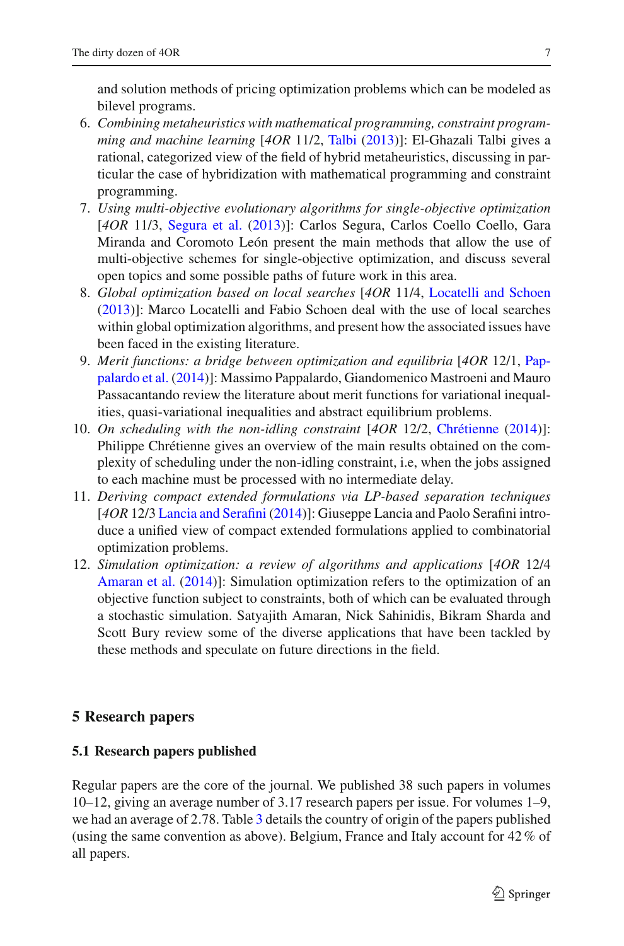and solution methods of pricing optimization problems which can be modeled as bilevel programs.

- 6. *Combining metaheuristics with mathematical programming, constraint programming and machine learning* [*4OR* 11/2, [Talbi](#page-12-2) [\(2013\)](#page-12-2)]: El-Ghazali Talbi gives a rational, categorized view of the field of hybrid metaheuristics, discussing in particular the case of hybridization with mathematical programming and constraint programming.
- 7. *Using multi-objective evolutionary algorithms for single-objective optimization* [*4OR* 11/3, [Segura et al.](#page-12-3) [\(2013\)](#page-12-3)]: Carlos Segura, Carlos Coello Coello, Gara Miranda and Coromoto León present the main methods that allow the use of multi-objective schemes for single-objective optimization, and discuss several open topics and some possible paths of future work in this area.
- 8. *Global optimization based on local searches* [*4OR* 11/4, [Locatelli and Schoen](#page-11-25) [\(2013\)](#page-11-25)]: Marco Locatelli and Fabio Schoen deal with the use of local searches within global optimization algorithms, and present how the associated issues have been faced in the existing literature.
- 9. *Merit functi[ons:](#page-11-26) [a](#page-11-26) [bridge](#page-11-26) [between](#page-11-26) [optimization](#page-11-26) [and](#page-11-26) [equilibria](#page-11-26)* [*4OR* 12/1, Pappalardo et al. [\(2014](#page-11-26))]: Massimo Pappalardo, Giandomenico Mastroeni and Mauro Passacantando review the literature about merit functions for variational inequalities, quasi-variational inequalities and abstract equilibrium problems.
- 10. *On scheduling with the non-idling constraint* [*4OR* 12/2, [Chrétienne](#page-11-27) [\(2014\)](#page-11-27)]: Philippe Chrétienne gives an overview of the main results obtained on the complexity of scheduling under the non-idling constraint, i.e, when the jobs assigned to each machine must be processed with no intermediate delay.
- 11. *Deriving compact extended formulations via LP-based separation techniques* [*4OR* 12/3 [Lancia and Serafini](#page-11-28) [\(2014\)](#page-11-28)]: Giuseppe Lancia and Paolo Serafini introduce a unified view of compact extended formulations applied to combinatorial optimization problems.
- 12. *Simulation optimization: a review of algorithms and applications* [*4OR* 12/4 [Amaran et al.](#page-11-29) [\(2014\)](#page-11-29)]: Simulation optimization refers to the optimization of an objective function subject to constraints, both of which can be evaluated through a stochastic simulation. Satyajith Amaran, Nick Sahinidis, Bikram Sharda and Scott Bury review some of the diverse applications that have been tackled by these methods and speculate on future directions in the field.

## **5 Research papers**

### **5.1 Research papers published**

Regular papers are the core of the journal. We published 38 such papers in volumes 10–12, giving an average number of 3*.*17 research papers per issue. For volumes 1–9, we had an average of 2*.*78. Table [3](#page-7-0) details the country of origin of the papers published (using the same convention as above). Belgium, France and Italy account for 42% of all papers.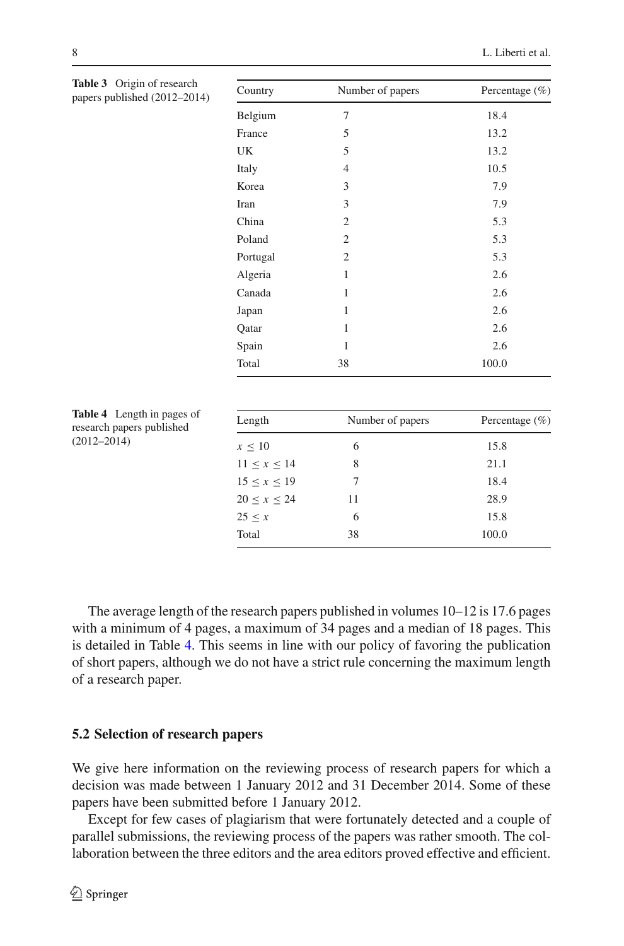<span id="page-7-0"></span>

| Table 3 Origin of research<br>papers published (2012-2014) | Country           | Number of papers | Percentage $(\% )$ |
|------------------------------------------------------------|-------------------|------------------|--------------------|
|                                                            | Belgium           | $\overline{7}$   | 18.4               |
|                                                            | France            | 5                | 13.2               |
|                                                            | UK                | 5                | 13.2               |
|                                                            | Italy             | $\overline{4}$   | 10.5               |
|                                                            | Korea             | 3                | 7.9                |
|                                                            | Iran              | 3                | 7.9                |
|                                                            | China             | $\mathfrak{2}$   | 5.3                |
|                                                            | Poland            | $\mathfrak{2}$   | 5.3                |
|                                                            | Portugal          | 2                | 5.3                |
|                                                            | Algeria           | 1                | 2.6                |
|                                                            | Canada            | 1                | 2.6                |
|                                                            | Japan             | 1                | 2.6                |
|                                                            | Qatar             | $\mathbf{1}$     | 2.6                |
|                                                            | Spain             | 1                | 2.6                |
|                                                            | Total             | 38               | 100.0              |
| Table 4 Length in pages of                                 |                   |                  |                    |
| research papers published<br>$(2012 - 2014)$               | Length            | Number of papers | Percentage $(\% )$ |
|                                                            | $x \leq 10$       | 6                | 15.8               |
|                                                            | $11 \le x \le 14$ | 8                | 21.1               |
|                                                            | $15 \le x \le 19$ | $\overline{7}$   | 18.4               |
|                                                            | $20 \le x \le 24$ | 11               | 28.9               |
|                                                            | $25 \leq x$       | 6                | 15.8               |
|                                                            | Total             | 38               | 100.0              |

<span id="page-7-1"></span>The average length of the research papers published in volumes 10–12 is 17.6 pages with a minimum of 4 pages, a maximum of 34 pages and a median of 18 pages. This is detailed in Table [4.](#page-7-1) This seems in line with our policy of favoring the publication of short papers, although we do not have a strict rule concerning the maximum length of a research paper.

#### **5.2 Selection of research papers**

We give here information on the reviewing process of research papers for which a decision was made between 1 January 2012 and 31 December 2014. Some of these papers have been submitted before 1 January 2012.

Except for few cases of plagiarism that were fortunately detected and a couple of parallel submissions, the reviewing process of the papers was rather smooth. The collaboration between the three editors and the area editors proved effective and efficient.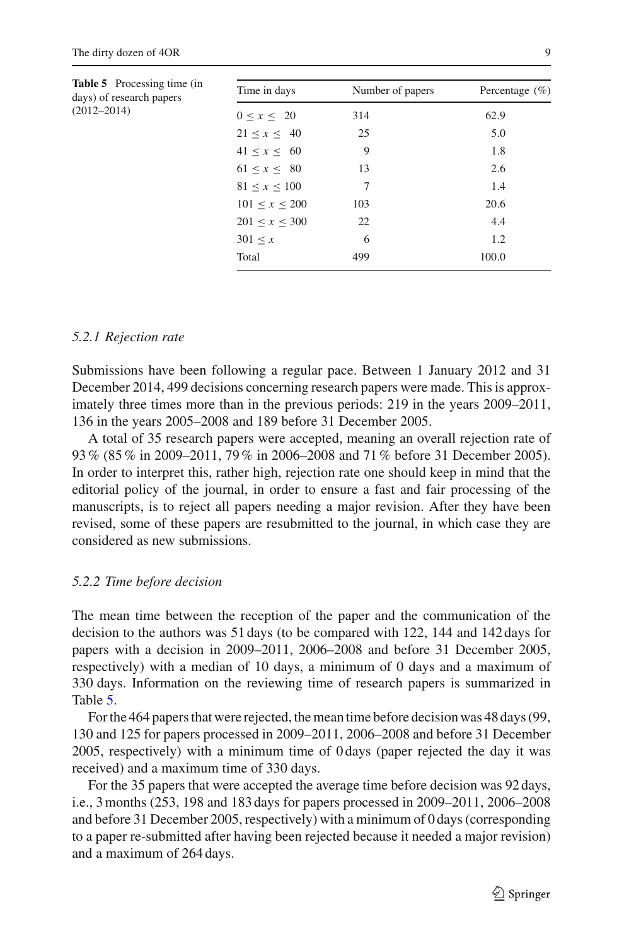<span id="page-8-0"></span>

| <b>Table 5</b> Processing time (in<br>days) of research papers<br>$(2012 - 2014)$ | Time in days        | Number of papers | Percentage $(\% )$ |
|-----------------------------------------------------------------------------------|---------------------|------------------|--------------------|
|                                                                                   | $0 \leq x \leq 20$  | 314              | 62.9               |
|                                                                                   | 21 < x < 40         | 25               | 5.0                |
|                                                                                   | 41 < x < 60         | 9                | 1.8                |
|                                                                                   | 61 < x < 80         | 13               | 2.6                |
|                                                                                   | 81 < x < 100        | 7                | 1.4                |
|                                                                                   | 101 < x < 200       | 103              | 20.6               |
|                                                                                   | $201 \le x \le 300$ | 22               | 4.4                |
|                                                                                   | 301 < x             | 6                | 1.2                |
|                                                                                   | Total               | 499              | 100.0              |
|                                                                                   |                     |                  |                    |

#### *5.2.1 Rejection rate*

Submissions have been following a regular pace. Between 1 January 2012 and 31 December 2014, 499 decisions concerning research papers were made. This is approximately three times more than in the previous periods: 219 in the years 2009–2011, 136 in the years 2005–2008 and 189 before 31 December 2005.

A total of 35 research papers were accepted, meaning an overall rejection rate of 93% (85% in 2009–2011, 79% in 2006–2008 and 71% before 31 December 2005). In order to interpret this, rather high, rejection rate one should keep in mind that the editorial policy of the journal, in order to ensure a fast and fair processing of the manuscripts, is to reject all papers needing a major revision. After they have been revised, some of these papers are resubmitted to the journal, in which case they are considered as new submissions.

#### *5.2.2 Time before decision*

The mean time between the reception of the paper and the communication of the decision to the authors was 51 days (to be compared with 122, 144 and 142 days for papers with a decision in 2009–2011, 2006–2008 and before 31 December 2005, respectively) with a median of 10 days, a minimum of 0 days and a maximum of 330 days. Information on the reviewing time of research papers is summarized in Table [5.](#page-8-0)

For the 464 papers that were rejected, the mean time before decision was 48 days (99, 130 and 125 for papers processed in 2009–2011, 2006–2008 and before 31 December 2005, respectively) with a minimum time of 0 days (paper rejected the day it was received) and a maximum time of 330 days.

For the 35 papers that were accepted the average time before decision was 92 days, i.e., 3 months (253, 198 and 183 days for papers processed in 2009–2011, 2006–2008 and before 31 December 2005, respectively) with a minimum of 0 days (corresponding to a paper re-submitted after having been rejected because it needed a major revision) and a maximum of 264 days.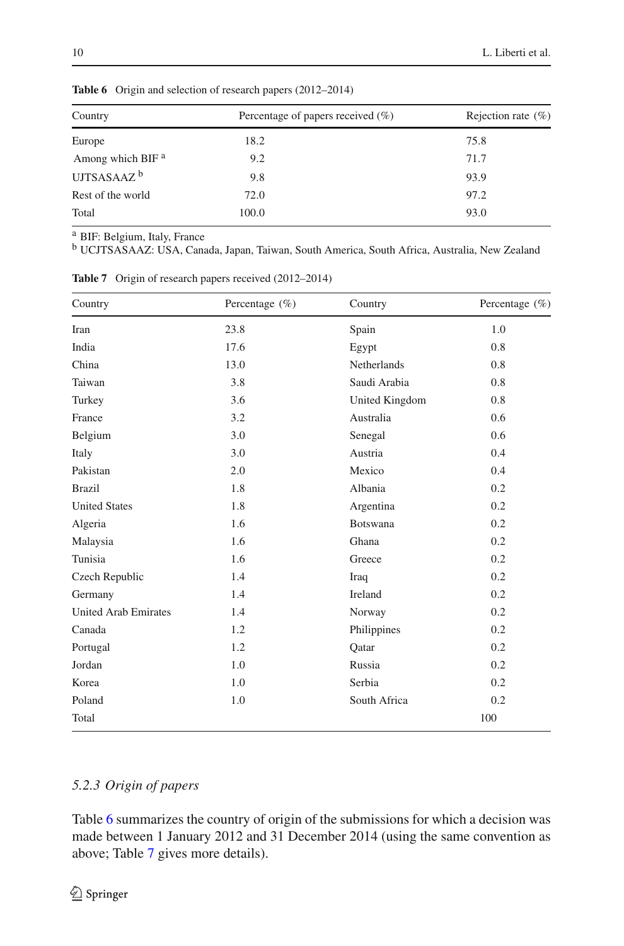| Country                      | Percentage of papers received $(\%)$ | Rejection rate $(\% )$ |  |
|------------------------------|--------------------------------------|------------------------|--|
| Europe                       | 18.2                                 | 75.8                   |  |
| Among which BIF <sup>a</sup> | 9.2                                  | 71.7                   |  |
| UJTSASAAZ $^{\rm b}$         | 9.8                                  | 93.9                   |  |
| Rest of the world            | 72.0                                 | 97.2                   |  |
| Total                        | 100.0                                | 93.0                   |  |
|                              |                                      |                        |  |

<span id="page-9-0"></span>**Table 6** Origin and selection of research papers (2012–2014)

<sup>a</sup> BIF: Belgium, Italy, France

<sup>b</sup> UCJTSASAAZ: USA, Canada, Japan, Taiwan, South America, South Africa, Australia, New Zealand

| Country                     | Percentage $(\% )$ | Country        | Percentage $(\% )$ |
|-----------------------------|--------------------|----------------|--------------------|
| Iran                        | 23.8               | Spain          | 1.0                |
| India                       | 17.6               | Egypt          | 0.8                |
| China                       | 13.0               | Netherlands    | 0.8                |
| Taiwan                      | 3.8                | Saudi Arabia   | 0.8                |
| Turkey                      | 3.6                | United Kingdom | 0.8                |
| France                      | 3.2                | Australia      | 0.6                |
| Belgium                     | 3.0                | Senegal        | 0.6                |
| Italy                       | 3.0                | Austria        | 0.4                |
| Pakistan                    | 2.0                | Mexico         | 0.4                |
| <b>Brazil</b>               | 1.8                | Albania        | 0.2                |
| <b>United States</b>        | 1.8                | Argentina      | 0.2                |
| Algeria                     | 1.6                | Botswana       | 0.2                |
| Malaysia                    | 1.6                | Ghana          | 0.2                |
| Tunisia                     | 1.6                | Greece         | 0.2                |
| Czech Republic              | 1.4                | Iraq           | 0.2                |
| Germany                     | 1.4                | Ireland        | 0.2                |
| <b>United Arab Emirates</b> | 1.4                | Norway         | 0.2                |
| Canada                      | 1.2                | Philippines    | 0.2                |
| Portugal                    | 1.2                | Qatar          | 0.2                |
| Jordan                      | 1.0                | Russia         | 0.2                |
| Korea                       | 1.0                | Serbia         | 0.2                |
| Poland                      | 1.0                | South Africa   | 0.2                |
| Total                       |                    |                | 100                |

<span id="page-9-1"></span>**Table 7** Origin of research papers received (2012–2014)

## *5.2.3 Origin of papers*

Table [6](#page-9-0) summarizes the country of origin of the submissions for which a decision was made between 1 January 2012 and 31 December 2014 (using the same convention as above; Table [7](#page-9-1) gives more details).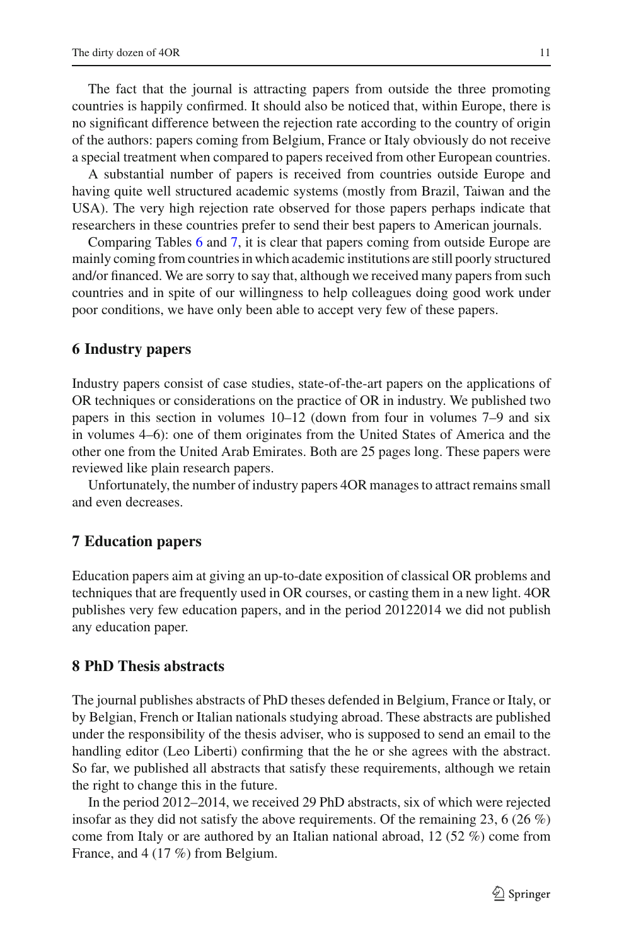The fact that the journal is attracting papers from outside the three promoting countries is happily confirmed. It should also be noticed that, within Europe, there is no significant difference between the rejection rate according to the country of origin of the authors: papers coming from Belgium, France or Italy obviously do not receive a special treatment when compared to papers received from other European countries.

A substantial number of papers is received from countries outside Europe and having quite well structured academic systems (mostly from Brazil, Taiwan and the USA). The very high rejection rate observed for those papers perhaps indicate that researchers in these countries prefer to send their best papers to American journals.

Comparing Tables [6](#page-9-0) and [7,](#page-9-1) it is clear that papers coming from outside Europe are mainly coming from countries in which academic institutions are still poorly structured and/or financed. We are sorry to say that, although we received many papers from such countries and in spite of our willingness to help colleagues doing good work under poor conditions, we have only been able to accept very few of these papers.

#### **6 Industry papers**

Industry papers consist of case studies, state-of-the-art papers on the applications of OR techniques or considerations on the practice of OR in industry. We published two papers in this section in volumes 10–12 (down from four in volumes 7–9 and six in volumes 4–6): one of them originates from the United States of America and the other one from the United Arab Emirates. Both are 25 pages long. These papers were reviewed like plain research papers.

Unfortunately, the number of industry papers 4OR manages to attract remains small and even decreases.

#### **7 Education papers**

Education papers aim at giving an up-to-date exposition of classical OR problems and techniques that are frequently used in OR courses, or casting them in a new light. 4OR publishes very few education papers, and in the period 20122014 we did not publish any education paper.

### **8 PhD Thesis abstracts**

The journal publishes abstracts of PhD theses defended in Belgium, France or Italy, or by Belgian, French or Italian nationals studying abroad. These abstracts are published under the responsibility of the thesis adviser, who is supposed to send an email to the handling editor (Leo Liberti) confirming that the he or she agrees with the abstract. So far, we published all abstracts that satisfy these requirements, although we retain the right to change this in the future.

In the period 2012–2014, we received 29 PhD abstracts, six of which were rejected insofar as they did not satisfy the above requirements. Of the remaining 23, 6 (26 %) come from Italy or are authored by an Italian national abroad, 12 (52 %) come from France, and 4 (17 %) from Belgium.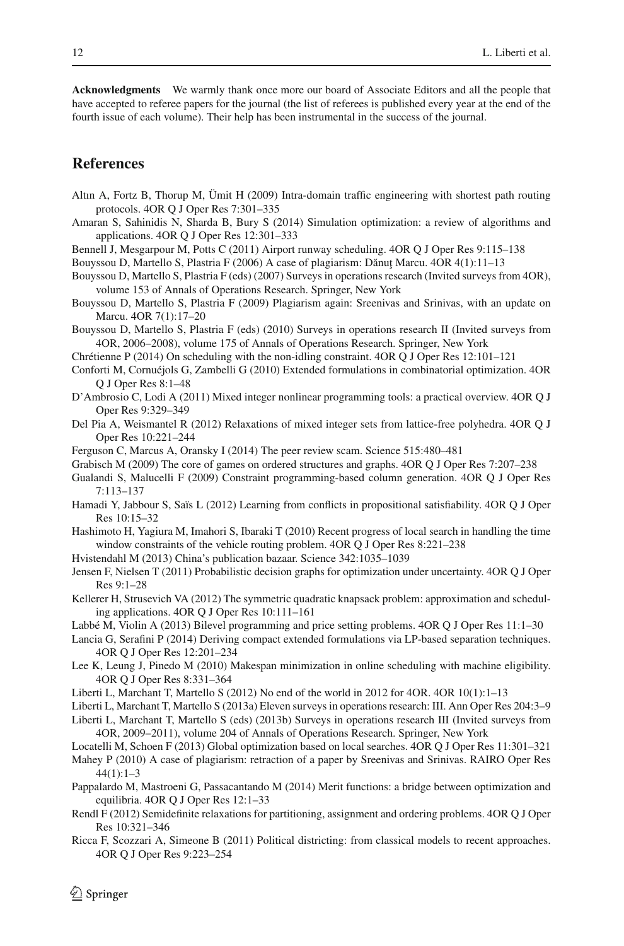**Acknowledgments** We warmly thank once more our board of Associate Editors and all the people that have accepted to referee papers for the journal (the list of referees is published every year at the end of the fourth issue of each volume). Their help has been instrumental in the success of the journal.

### **References**

- <span id="page-11-12"></span>Altın A, Fortz B, Thorup M, Ümit H (2009) Intra-domain traffic engineering with shortest path routing protocols. 4OR Q J Oper Res 7:301–335
- <span id="page-11-29"></span>Amaran S, Sahinidis N, Sharda B, Bury S (2014) Simulation optimization: a review of algorithms and applications. 4OR Q J Oper Res 12:301–333
- <span id="page-11-17"></span>Bennell J, Mesgarpour M, Potts C (2011) Airport runway scheduling. 4OR Q J Oper Res 9:115–138

<span id="page-11-2"></span>Bouyssou D, Martello S, Plastria F (2006) A case of plagiarism: Dănuț Marcu. 4OR 4(1):11–13

- <span id="page-11-7"></span>Bouyssou D, Martello S, Plastria F (eds) (2007) Surveys in operations research (Invited surveys from 4OR), volume 153 of Annals of Operations Research. Springer, New York
- <span id="page-11-3"></span>Bouyssou D, Martello S, Plastria F (2009) Plagiarism again: Sreenivas and Srinivas, with an update on Marcu. 4OR 7(1):17–20
- <span id="page-11-8"></span>Bouyssou D, Martello S, Plastria F (eds) (2010) Surveys in operations research II (Invited surveys from 4OR, 2006–2008), volume 175 of Annals of Operations Research. Springer, New York
- Chrétienne P (2014) On scheduling with the non-idling constraint. 4OR Q J Oper Res 12:101–121
- <span id="page-11-27"></span><span id="page-11-13"></span>Conforti M, Cornuéjols G, Zambelli G (2010) Extended formulations in combinatorial optimization. 4OR Q J Oper Res 8:1–48
- <span id="page-11-19"></span>D'Ambrosio C, Lodi A (2011) Mixed integer nonlinear programming tools: a practical overview. 4OR Q J Oper Res 9:329–349
- <span id="page-11-22"></span>Del Pia A, Weismantel R (2012) Relaxations of mixed integer sets from lattice-free polyhedra. 4OR Q J Oper Res 10:221–244
- <span id="page-11-5"></span>Ferguson C, Marcus A, Oransky I (2014) The peer review scam. Science 515:480–481
- Grabisch M (2009) The core of games on ordered structures and graphs. 4OR Q J Oper Res 7:207–238
- <span id="page-11-11"></span><span id="page-11-10"></span>Gualandi S, Malucelli F (2009) Constraint programming-based column generation. 4OR Q J Oper Res 7:113–137
- <span id="page-11-20"></span>Hamadi Y, Jabbour S, Saïs L (2012) Learning from conflicts in propositional satisfiability. 4OR Q J Oper Res 10:15–32
- <span id="page-11-14"></span>Hashimoto H, Yagiura M, Imahori S, Ibaraki T (2010) Recent progress of local search in handling the time window constraints of the vehicle routing problem. 4OR Q J Oper Res 8:221–238
- Hvistendahl M (2013) China's publication bazaar. Science 342:1035–1039
- <span id="page-11-16"></span><span id="page-11-6"></span>Jensen F, Nielsen T (2011) Probabilistic decision graphs for optimization under uncertainty. 4OR Q J Oper Res 9:1–28
- <span id="page-11-21"></span>Kellerer H, Strusevich VA (2012) The symmetric quadratic knapsack problem: approximation and scheduling applications. 4OR Q J Oper Res 10:111–161
- <span id="page-11-24"></span>Labbé M, Violin A (2013) Bilevel programming and price setting problems. 4OR Q J Oper Res 11:1–30
- <span id="page-11-28"></span>Lancia G, Serafini P (2014) Deriving compact extended formulations via LP-based separation techniques. 4OR Q J Oper Res 12:201–234
- <span id="page-11-15"></span>Lee K, Leung J, Pinedo M (2010) Makespan minimization in online scheduling with machine eligibility. 4OR Q J Oper Res 8:331–364
- <span id="page-11-0"></span>Liberti L, Marchant T, Martello S (2012) No end of the world in 2012 for 4OR. 4OR 10(1):1–13
- Liberti L, Marchant T, Martello S (2013a) Eleven surveys in operations research: III. Ann Oper Res 204:3–9
- <span id="page-11-9"></span><span id="page-11-1"></span>Liberti L, Marchant T, Martello S (eds) (2013b) Surveys in operations research III (Invited surveys from 4OR, 2009–2011), volume 204 of Annals of Operations Research. Springer, New York
- <span id="page-11-25"></span>Locatelli M, Schoen F (2013) Global optimization based on local searches. 4OR Q J Oper Res 11:301–321
- <span id="page-11-4"></span>Mahey P (2010) A case of plagiarism: retraction of a paper by Sreenivas and Srinivas. RAIRO Oper Res 44(1):1–3
- <span id="page-11-26"></span>Pappalardo M, Mastroeni G, Passacantando M (2014) Merit functions: a bridge between optimization and equilibria. 4OR Q J Oper Res 12:1–33
- <span id="page-11-23"></span>Rendl F (2012) Semidefinite relaxations for partitioning, assignment and ordering problems. 4OR Q J Oper Res 10:321–346
- <span id="page-11-18"></span>Ricca F, Scozzari A, Simeone B (2011) Political districting: from classical models to recent approaches. 4OR Q J Oper Res 9:223–254